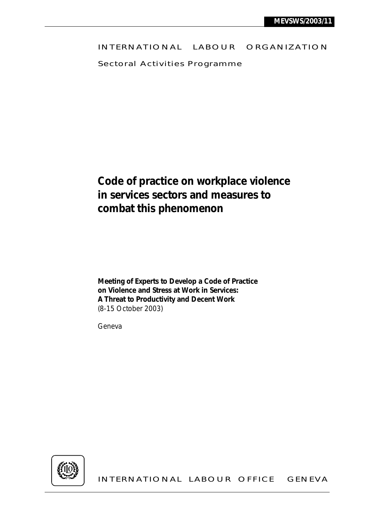## INTERNATIONAL LABOUR ORGANIZATION

Sectoral Activities Programme

# **Code of practice on workplace violence in services sectors and measures to combat this phenomenon**

**Meeting of Experts to Develop a Code of Practice on Violence and Stress at Work in Services: A Threat to Productivity and Decent Work**  (8-15 October 2003)

Geneva



INTERNATIONAL LABOUR OFFICE GENEVA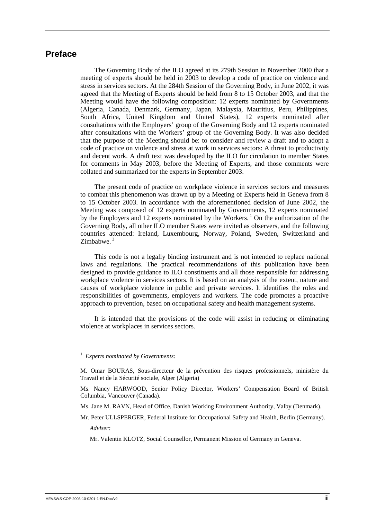## **Preface**

The Governing Body of the ILO agreed at its 279th Session in November 2000 that a meeting of experts should be held in 2003 to develop a code of practice on violence and stress in services sectors. At the 284th Session of the Governing Body, in June 2002, it was agreed that the Meeting of Experts should be held from 8 to 15 October 2003, and that the Meeting would have the following composition: 12 experts nominated by Governments (Algeria, Canada, Denmark, Germany, Japan, Malaysia, Mauritius, Peru, Philippines, South Africa, United Kingdom and United States), 12 experts nominated after consultations with the Employers' group of the Governing Body and 12 experts nominated after consultations with the Workers' group of the Governing Body. It was also decided that the purpose of the Meeting should be: to consider and review a draft and to adopt a code of practice on violence and stress at work in services sectors: A threat to productivity and decent work. A draft text was developed by the ILO for circulation to member States for comments in May 2003, before the Meeting of Experts, and those comments were collated and summarized for the experts in September 2003.

The present code of practice on workplace violence in services sectors and measures to combat this phenomenon was drawn up by a Meeting of Experts held in Geneva from 8 to 15 October 2003. In accordance with the aforementioned decision of June 2002, the Meeting was composed of 12 experts nominated by Governments, 12 experts nominated by the Employers and 12 experts nominated by the Workers.<sup>1</sup> On the authorization of the Governing Body, all other ILO member States were invited as observers, and the following countries attended: Ireland, Luxembourg, Norway, Poland, Sweden, Switzerland and Zimbabwe.<sup>2</sup>

This code is not a legally binding instrument and is not intended to replace national laws and regulations. The practical recommendations of this publication have been designed to provide guidance to ILO constituents and all those responsible for addressing workplace violence in services sectors. It is based on an analysis of the extent, nature and causes of workplace violence in public and private services. It identifies the roles and responsibilities of governments, employers and workers. The code promotes a proactive approach to prevention, based on occupational safety and health management systems.

It is intended that the provisions of the code will assist in reducing or eliminating violence at workplaces in services sectors.

#### <sup>1</sup> *Experts nominated by Governments:*

M. Omar BOURAS, Sous-directeur de la prévention des risques professionnels, ministère du Travail et de la Sécurité sociale, Alger (Algeria)

Ms. Nancy HARWOOD, Senior Policy Director, Workers' Compensation Board of British Columbia, Vancouver (Canada).

Ms. Jane M. RAVN, Head of Office, Danish Working Environment Authority, Valby (Denmark).

Mr. Peter ULLSPERGER, Federal Institute for Occupational Safety and Health, Berlin (Germany).

 *Adviser:* 

Mr. Valentin KLOTZ, Social Counsellor, Permanent Mission of Germany in Geneva.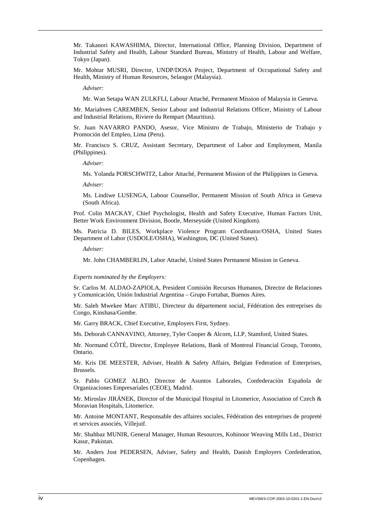Mr. Takanori KAWASHIMA, Director, International Office, Planning Division, Department of Industrial Safety and Health, Labour Standard Bureau, Ministry of Health, Labour and Welfare, Tokyo (Japan).

Mr. Mohtar MUSRI, Director, UNDP/DOSA Project, Department of Occupational Safety and Health, Ministry of Human Resources, Selangor (Malaysia).

*Adviser:* 

Mr. Wan Setapa WAN ZULKFLI, Labour Attaché, Permanent Mission of Malaysia in Geneva.

Mr. Mariahven CAREMBEN, Senior Labour and Industrial Relations Officer, Ministry of Labour and Industrial Relations, Riviere du Rempart (Mauritius).

Sr. Juan NAVARRO PANDO, Asesor, Vice Ministro de Trabajo, Ministerio de Trabajo y Promoción del Empleo, Lima (Peru).

Mr. Francisco S. CRUZ, Assistant Secretary, Department of Labor and Employment, Manila (Philippines).

*Adviser:* 

Ms. Yolanda PORSCHWITZ, Labor Attaché, Permanent Mission of the Philippines in Geneva.

*Adviser:* 

 Ms. Lindiwe LUSENGA, Labour Counsellor, Permanent Mission of South Africa in Geneva (South Africa).

Prof. Colin MACKAY, Chief Psychologist, Health and Safety Executive, Human Factors Unit, Better Work Environment Division, Bootle, Merseyside (United Kingdom).

Ms. Patricia D. BILES, Workplace Violence Program Coordinator/OSHA, United States Department of Labor (USDOLE/OSHA), Washington, DC (United States).

*Adviser:* 

Mr. John CHAMBERLIN, Labor Attaché, United States Permanent Mission in Geneva.

#### *Experts nominated by the Employers:*

Sr. Carlos M. ALDAO-ZAPIOLA, President Comisión Recursos Humanos, Director de Relaciones y Comunicación, Unión Industrial Argentina – Grupo Fortabat, Buenos Aires.

Mr. Saleh Mwekee Marc ATIBU, Directeur du département social, Fédération des entreprises du Congo, Kinshasa/Gombe.

Mr. Garry BRACK, Chief Executive, Employers First, Sydney.

Ms. Deborah CANNAVINO, Attorney, Tyler Cooper & Alcorn, LLP, Stamford, United States.

Mr. Normand CÔTÉ, Director, Employee Relations, Bank of Montreal Financial Group, Toronto, Ontario.

Mr. Kris DE MEESTER, Adviser, Health & Safety Affairs, Belgian Federation of Enterprises, Brussels.

Sr. Pablo GOMEZ ALBO, Director de Asuntos Laborales, Confederación Española de Organizaciones Empresariales (CEOE), Madrid.

Mr. Miroslav JIRÁNEK, Director of the Municipal Hospital in Litomerice, Association of Czech & Moravian Hospitals, Litomerice.

Mr. Antoine MONTANT, Responsable des affaires sociales, Fédération des entreprises de propreté et services associés, Villejuif.

Mr. Shahbaz MUNIR, General Manager, Human Resources, Kohinoor Weaving Mills Ltd., District Kasur, Pakistan.

Mr. Anders Jost PEDERSEN, Adviser, Safety and Health, Danish Employers Confederation, Copenhagen.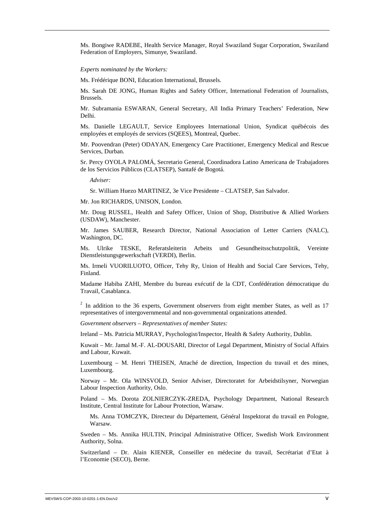Ms. Bongiwe RADEBE, Health Service Manager, Royal Swaziland Sugar Corporation, Swaziland Federation of Employers, Simunye, Swaziland.

*Experts nominated by the Workers:* 

Ms. Frédérique BONI, Education International, Brussels.

Ms. Sarah DE JONG, Human Rights and Safety Officer, International Federation of Journalists, Brussels.

Mr. Subramania ESWARAN, General Secretary, All India Primary Teachers' Federation, New Delhi.

Ms. Danielle LEGAULT, Service Employees International Union, Syndicat québécois des employées et employés de services (SQEES), Montreal, Quebec.

Mr. Poovendran (Peter) ODAYAN, Emergency Care Practitioner, Emergency Medical and Rescue Services, Durban.

Sr. Percy OYOLA PALOMÁ, Secretario General, Coordinadora Latino Americana de Trabajadores de los Servicios Públicos (CLATSEP), Santafé de Bogotá.

*Adviser:* 

Sr. William Huezo MARTINEZ, 3e Vice Presidente – CLATSEP, San Salvador.

Mr. Jon RICHARDS, UNISON, London.

Mr. Doug RUSSEL, Health and Safety Officer, Union of Shop, Distributive & Allied Workers (USDAW), Manchester.

Mr. James SAUBER, Research Director, National Association of Letter Carriers (NALC), Washington, DC.

Ms. Ulrike TESKE, Referatsleiterin Arbeits und Gesundheitsschutzpolitik, Vereinte Dienstleistungsgewerkschaft (VERDI), Berlin.

Ms. Irmeli VUORILUOTO, Officer, Tehy Ry, Union of Health and Social Care Services, Tehy, Finland.

Madame Habiba ZAHI, Membre du bureau exécutif de la CDT, Confédération démocratique du Travail, Casablanca.

 $2$  In addition to the 36 experts, Government observers from eight member States, as well as 17 representatives of intergovernmental and non-governmental organizations attended.

*Government observers – Representatives of member States:* 

Ireland – Ms. Patricia MURRAY, Psychologist/Inspector, Health & Safety Authority, Dublin.

Kuwait – Mr. Jamal M.-F. AL-DOUSARI, Director of Legal Department, Ministry of Social Affairs and Labour, Kuwait.

Luxembourg – M. Henri THEISEN, Attaché de direction, Inspection du travail et des mines, Luxembourg.

Norway – Mr. Ola WINSVOLD, Senior Adviser, Directoratet for Arbeidstilsyner, Norwegian Labour Inspection Authority, Oslo.

Poland – Ms. Dorota ZOLNIERCZYK-ZREDA, Psychology Department, National Research Institute, Central Institute for Labour Protection, Warsaw.

 Ms. Anna TOMCZYK, Directeur du Département, Général Inspektorat du travail en Pologne, Warsaw.

Sweden – Ms. Annika HULTIN, Principal Administrative Officer, Swedish Work Environment Authority, Solna.

Switzerland – Dr. Alain KIENER, Conseiller en médecine du travail, Secrétariat d'Etat à l'Economie (SECO), Berne.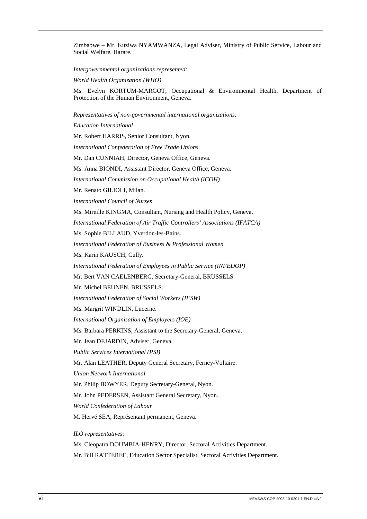Zimbabwe – Mr. Kuziwa NYAMWANZA, Legal Adviser, Ministry of Public Service, Labour and Social Welfare, Harare.

*Intergovernmental organizations represented:* 

*World Health Organization (WHO)* 

Ms. Evelyn KORTUM-MARGOT, Occupational & Environmental Health, Department of Protection of the Human Environment, Geneva.

*Representatives of non-governmental international organizations:* 

*Education International*  Mr. Robert HARRIS, Senior Consultant, Nyon.

*International Confederation of Free Trade Unions* 

Mr. Dan CUNNIAH, Director, Geneva Office, Geneva.

Ms. Anna BIONDI, Assistant Director, Geneva Office, Geneva.

*International Commission on Occupational Health (ICOH)* 

Mr. Renato GILIOLI, Milan.

*International Council of Nurses* 

Ms. Mireille KINGMA, Consultant, Nursing and Health Policy, Geneva.

*International Federation of Air Traffic Controllers' Associations (IFATCA)* 

Ms. Sophie BILLAUD, Yverdon-les-Bains.

*International Federation of Business & Professional Women* 

Ms. Karin KAUSCH, Cully.

*International Federation of Employees in Public Service (INFEDOP)* 

Mr. Bert VAN CAELENBERG, Secretary-General, BRUSSELS.

Mr. Michel BEUNEN, BRUSSELS.

*International Federation of Social Workers (IFSW)* 

Ms. Margrit WINDLIN, Lucerne.

*International Organisation of Employers (IOE)* 

Ms. Barbara PERKINS, Assistant to the Secretary-General, Geneva.

Mr. Jean DEJARDIN, Adviser, Geneva.

*Public Services International (PSI)* 

Mr. Alan LEATHER, Deputy General Secretary, Ferney-Voltaire.

*Union Network International* 

Mr. Philip BOWYER, Deputy Secretary-General, Nyon.

Mr. John PEDERSEN, Assistant General Secretary, Nyon.

*World Confederation of Labour* 

M. Hervé SEA, Représentant permanent, Geneva.

*ILO representatives:* 

Ms. Cleopatra DOUMBIA-HENRY, Director, Sectoral Activities Department.

Mr. Bill RATTEREE, Education Sector Specialist, Sectoral Activities Department.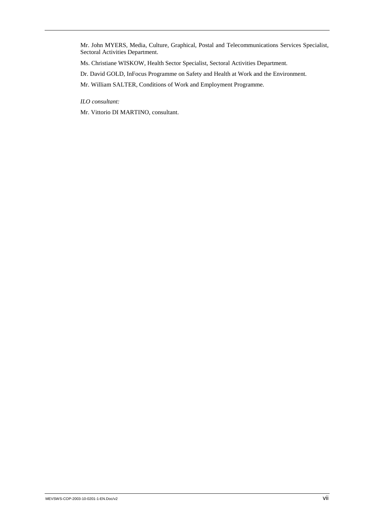Mr. John MYERS, Media, Culture, Graphical, Postal and Telecommunications Services Specialist, Sectoral Activities Department.

Ms. Christiane WISKOW, Health Sector Specialist, Sectoral Activities Department.

Dr. David GOLD, InFocus Programme on Safety and Health at Work and the Environment.

Mr. William SALTER, Conditions of Work and Employment Programme.

*ILO consultant:* 

Mr. Vittorio DI MARTINO, consultant.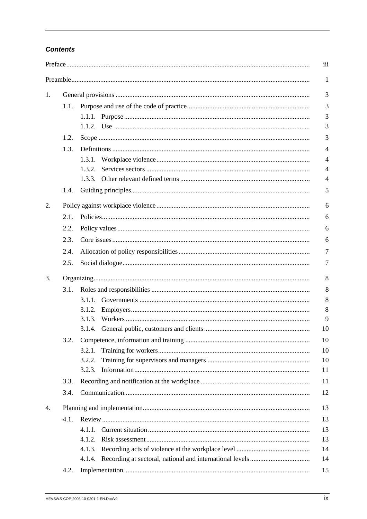## **Contents**

| 1.   |        |  |  |
|------|--------|--|--|
| 1.1. |        |  |  |
|      |        |  |  |
|      |        |  |  |
| 1.2. |        |  |  |
| 1.3. |        |  |  |
|      |        |  |  |
|      | 1.3.2. |  |  |
|      |        |  |  |
| 1.4. |        |  |  |
|      |        |  |  |
| 2.1. |        |  |  |
| 2.2. |        |  |  |
| 2.3. |        |  |  |
| 2.4. |        |  |  |
| 2.5. |        |  |  |
| 3.   |        |  |  |
| 3.1. |        |  |  |
|      |        |  |  |
|      | 3.1.2. |  |  |
|      |        |  |  |
|      |        |  |  |
| 3.2. |        |  |  |
|      | 3.2.1. |  |  |
|      | 3.2.2. |  |  |
|      |        |  |  |
| 3.3. |        |  |  |
| 3.4. |        |  |  |
| 4.   |        |  |  |
| 4.1. |        |  |  |
|      | 4.1.1. |  |  |
|      |        |  |  |
|      | 4.1.3. |  |  |
|      |        |  |  |
| 4.2. |        |  |  |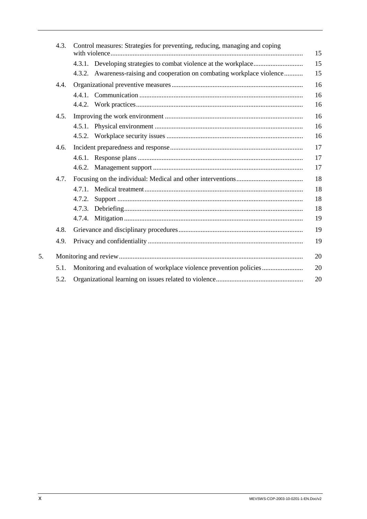|    | 4.3. | Control measures: Strategies for preventing, reducing, managing and coping | 15       |
|----|------|----------------------------------------------------------------------------|----------|
|    |      | 4.3.2. Awareness-raising and cooperation on combating workplace violence   | 15<br>15 |
|    | 4.4. |                                                                            | 16       |
|    |      |                                                                            | 16       |
|    |      |                                                                            | 16       |
|    | 4.5. |                                                                            | 16       |
|    |      |                                                                            | 16       |
|    |      |                                                                            | 16       |
|    | 4.6. |                                                                            | 17       |
|    |      |                                                                            | 17       |
|    |      |                                                                            | 17       |
|    | 4.7. |                                                                            | 18       |
|    |      | $4.7.1$ .                                                                  | 18       |
|    |      | 4.7.2.                                                                     | 18       |
|    |      |                                                                            | 18       |
|    |      |                                                                            | 19       |
|    | 4.8. |                                                                            | 19       |
|    | 4.9. |                                                                            | 19       |
| 5. |      |                                                                            | 20       |
|    | 5.1. | Monitoring and evaluation of workplace violence prevention policies        | 20       |
|    | 5.2. |                                                                            | 20       |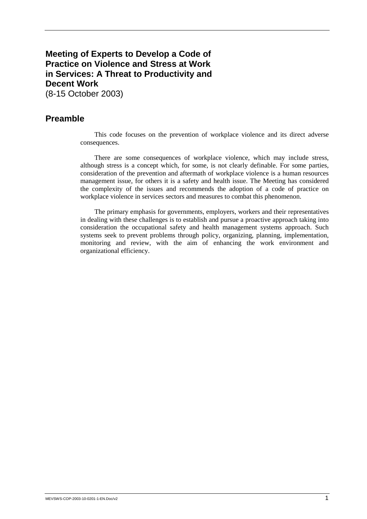## **Meeting of Experts to Develop a Code of Practice on Violence and Stress at Work in Services: A Threat to Productivity and Decent Work**  (8-15 October 2003)

## **Preamble**

This code focuses on the prevention of workplace violence and its direct adverse consequences.

There are some consequences of workplace violence, which may include stress, although stress is a concept which, for some, is not clearly definable. For some parties, consideration of the prevention and aftermath of workplace violence is a human resources management issue, for others it is a safety and health issue. The Meeting has considered the complexity of the issues and recommends the adoption of a code of practice on workplace violence in services sectors and measures to combat this phenomenon.

The primary emphasis for governments, employers, workers and their representatives in dealing with these challenges is to establish and pursue a proactive approach taking into consideration the occupational safety and health management systems approach. Such systems seek to prevent problems through policy, organizing, planning, implementation, monitoring and review, with the aim of enhancing the work environment and organizational efficiency.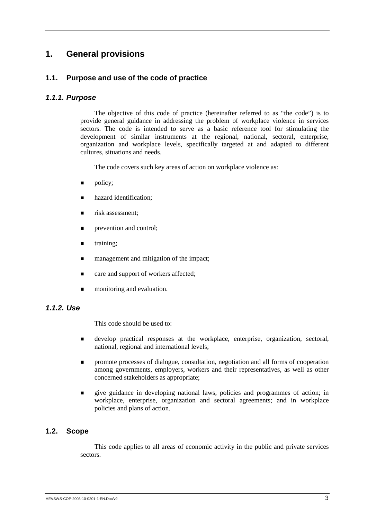## **1. General provisions**

## **1.1. Purpose and use of the code of practice**

#### *1.1.1. Purpose*

The objective of this code of practice (hereinafter referred to as "the code") is to provide general guidance in addressing the problem of workplace violence in services sectors. The code is intended to serve as a basic reference tool for stimulating the development of similar instruments at the regional, national, sectoral, enterprise, organization and workplace levels, specifically targeted at and adapted to different cultures, situations and needs.

The code covers such key areas of action on workplace violence as:

- policy;
- hazard identification;
- risk assessment:
- prevention and control:
- training;
- management and mitigation of the impact;
- care and support of workers affected;
- monitoring and evaluation.

## *1.1.2. Use*

This code should be used to:

- ! develop practical responses at the workplace, enterprise, organization, sectoral, national, regional and international levels;
- $\blacksquare$  promote processes of dialogue, consultation, negotiation and all forms of cooperation among governments, employers, workers and their representatives, as well as other concerned stakeholders as appropriate;
- ! give guidance in developing national laws, policies and programmes of action; in workplace, enterprise, organization and sectoral agreements; and in workplace policies and plans of action.

### **1.2. Scope**

This code applies to all areas of economic activity in the public and private services sectors.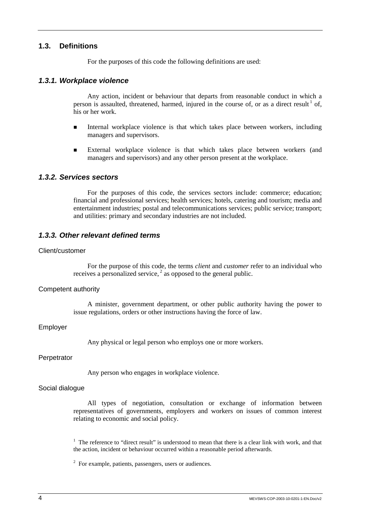## **1.3. Definitions**

For the purposes of this code the following definitions are used:

#### *1.3.1. Workplace violence*

Any action, incident or behaviour that departs from reasonable conduct in which a person is assaulted, threatened, harmed, injured in the course of, or as a direct result  $\frac{1}{1}$  of, his or her work.

- ! Internal workplace violence is that which takes place between workers, including managers and supervisors.
- **External workplace violence is that which takes place between workers (and** managers and supervisors) and any other person present at the workplace.

#### *1.3.2. Services sectors*

For the purposes of this code, the services sectors include: commerce; education; financial and professional services; health services; hotels, catering and tourism; media and entertainment industries; postal and telecommunications services; public service; transport; and utilities: primary and secondary industries are not included.

#### *1.3.3. Other relevant defined terms*

#### Client/customer

For the purpose of this code, the terms *client* and *customer* refer to an individual who receives a personalized service,  $\frac{2}{3}$  as opposed to the general public.

#### Competent authority

A minister, government department, or other public authority having the power to issue regulations, orders or other instructions having the force of law.

#### Employer

Any physical or legal person who employs one or more workers.

#### **Perpetrator**

Any person who engages in workplace violence.

#### Social dialogue

All types of negotiation, consultation or exchange of information between representatives of governments, employers and workers on issues of common interest relating to economic and social policy.

<sup>1</sup> The reference to "direct result" is understood to mean that there is a clear link with work, and that the action, incident or behaviour occurred within a reasonable period afterwards.

 $2^2$  For example, patients, passengers, users or audiences.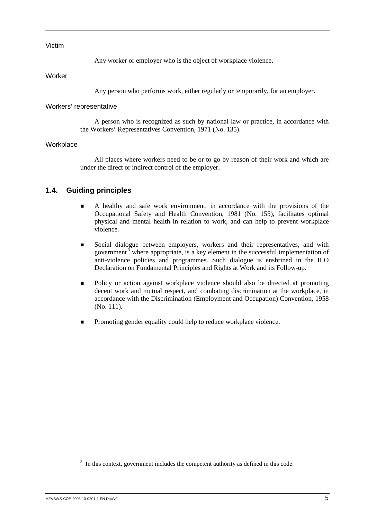#### Victim

Any worker or employer who is the object of workplace violence.

Worker

Any person who performs work, either regularly or temporarily, for an employer.

#### Workers' representative

A person who is recognized as such by national law or practice, in accordance with the Workers' Representatives Convention, 1971 (No. 135).

#### **Workplace**

All places where workers need to be or to go by reason of their work and which are under the direct or indirect control of the employer.

## **1.4. Guiding principles**

- ! A healthy and safe work environment, in accordance with the provisions of the Occupational Safety and Health Convention, 1981 (No. 155), facilitates optimal physical and mental health in relation to work, and can help to prevent workplace violence.
- ! Social dialogue between employers, workers and their representatives, and with government  $\frac{3}{7}$  where appropriate, is a key element in the successful implementation of anti-violence policies and programmes. Such dialogue is enshrined in the ILO Declaration on Fundamental Principles and Rights at Work and its Follow-up.
- ! Policy or action against workplace violence should also be directed at promoting decent work and mutual respect, and combating discrimination at the workplace, in accordance with the Discrimination (Employment and Occupation) Convention, 1958 (No. 111).
- ! Promoting gender equality could help to reduce workplace violence.

 $3\,$  In this context, government includes the competent authority as defined in this code.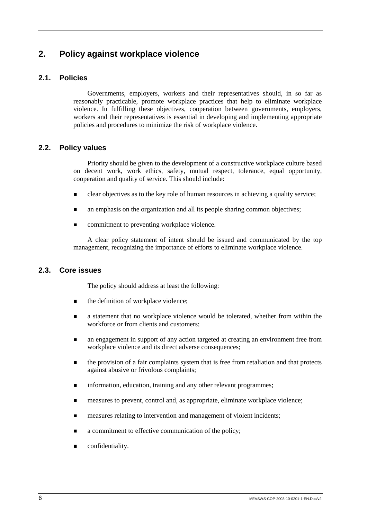## **2. Policy against workplace violence**

## **2.1. Policies**

Governments, employers, workers and their representatives should, in so far as reasonably practicable, promote workplace practices that help to eliminate workplace violence. In fulfilling these objectives, cooperation between governments, employers, workers and their representatives is essential in developing and implementing appropriate policies and procedures to minimize the risk of workplace violence.

## **2.2. Policy values**

Priority should be given to the development of a constructive workplace culture based on decent work, work ethics, safety, mutual respect, tolerance, equal opportunity, cooperation and quality of service. This should include:

- $\blacksquare$  clear objectives as to the key role of human resources in achieving a quality service;
- $\blacksquare$  an emphasis on the organization and all its people sharing common objectives;
- commitment to preventing workplace violence.

A clear policy statement of intent should be issued and communicated by the top management, recognizing the importance of efforts to eliminate workplace violence.

## **2.3. Core issues**

The policy should address at least the following:

- $\blacksquare$  the definition of workplace violence;
- ! a statement that no workplace violence would be tolerated, whether from within the workforce or from clients and customers;
- **n** an engagement in support of any action targeted at creating an environment free from workplace violence and its direct adverse consequences;
- ! the provision of a fair complaints system that is free from retaliation and that protects against abusive or frivolous complaints;
- $\blacksquare$  information, education, training and any other relevant programmes;
- ! measures to prevent, control and, as appropriate, eliminate workplace violence;
- ! measures relating to intervention and management of violent incidents;
- a commitment to effective communication of the policy;
- confidentiality.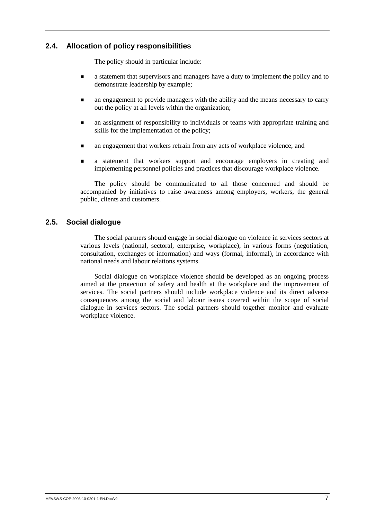## **2.4. Allocation of policy responsibilities**

The policy should in particular include:

- $\blacksquare$  a statement that supervisors and managers have a duty to implement the policy and to demonstrate leadership by example;
- $\blacksquare$  an engagement to provide managers with the ability and the means necessary to carry out the policy at all levels within the organization;
- an assignment of responsibility to individuals or teams with appropriate training and skills for the implementation of the policy;
- an engagement that workers refrain from any acts of workplace violence; and
- ! a statement that workers support and encourage employers in creating and implementing personnel policies and practices that discourage workplace violence.

The policy should be communicated to all those concerned and should be accompanied by initiatives to raise awareness among employers, workers, the general public, clients and customers.

## **2.5. Social dialogue**

The social partners should engage in social dialogue on violence in services sectors at various levels (national, sectoral, enterprise, workplace), in various forms (negotiation, consultation, exchanges of information) and ways (formal, informal), in accordance with national needs and labour relations systems.

Social dialogue on workplace violence should be developed as an ongoing process aimed at the protection of safety and health at the workplace and the improvement of services. The social partners should include workplace violence and its direct adverse consequences among the social and labour issues covered within the scope of social dialogue in services sectors. The social partners should together monitor and evaluate workplace violence.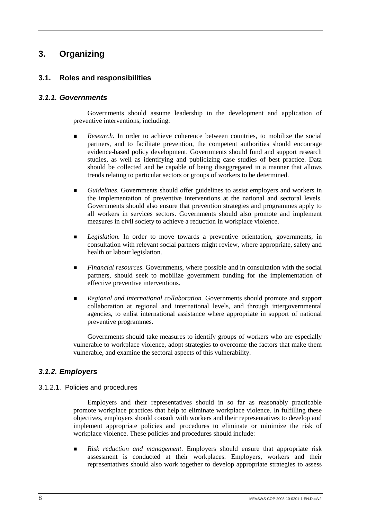## **3. Organizing**

## **3.1. Roles and responsibilities**

## *3.1.1. Governments*

Governments should assume leadership in the development and application of preventive interventions, including:

- **EXECUTE:** *Research.* In order to achieve coherence between countries, to mobilize the social partners, and to facilitate prevention, the competent authorities should encourage evidence-based policy development. Governments should fund and support research studies, as well as identifying and publicizing case studies of best practice. Data should be collected and be capable of being disaggregated in a manner that allows trends relating to particular sectors or groups of workers to be determined.
- *Guidelines*. Governments should offer guidelines to assist employers and workers in the implementation of preventive interventions at the national and sectoral levels. Governments should also ensure that prevention strategies and programmes apply to all workers in services sectors. Governments should also promote and implement measures in civil society to achieve a reduction in workplace violence.
- **E** *Legislation*. In order to move towards a preventive orientation, governments, in consultation with relevant social partners might review, where appropriate, safety and health or labour legislation.
- ! *Financial resources*. Governments, where possible and in consultation with the social partners, should seek to mobilize government funding for the implementation of effective preventive interventions.
- **Regional and international collaboration. Governments should promote and support** collaboration at regional and international levels, and through intergovernmental agencies, to enlist international assistance where appropriate in support of national preventive programmes.

Governments should take measures to identify groups of workers who are especially vulnerable to workplace violence, adopt strategies to overcome the factors that make them vulnerable, and examine the sectoral aspects of this vulnerability.

## *3.1.2. Employers*

### 3.1.2.1. Policies and procedures

Employers and their representatives should in so far as reasonably practicable promote workplace practices that help to eliminate workplace violence. In fulfilling these objectives, employers should consult with workers and their representatives to develop and implement appropriate policies and procedures to eliminate or minimize the risk of workplace violence. These policies and procedures should include:

! *Risk reduction and management*. Employers should ensure that appropriate risk assessment is conducted at their workplaces. Employers, workers and their representatives should also work together to develop appropriate strategies to assess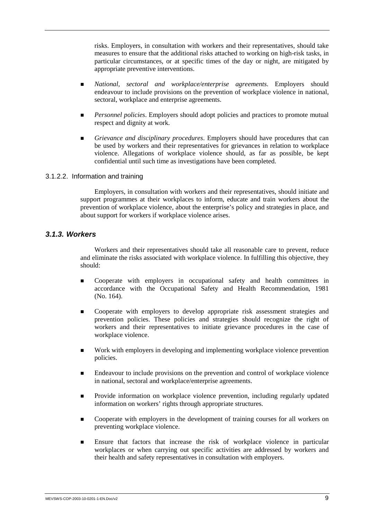risks. Employers, in consultation with workers and their representatives, should take measures to ensure that the additional risks attached to working on high-risk tasks, in particular circumstances, or at specific times of the day or night, are mitigated by appropriate preventive interventions.

- ! *National, sectoral and workplace/enterprise agreements*. Employers should endeavour to include provisions on the prevention of workplace violence in national, sectoral, workplace and enterprise agreements.
- **Personnel policies.** Employers should adopt policies and practices to promote mutual respect and dignity at work.
- ! *Grievance and disciplinary procedures*. Employers should have procedures that can be used by workers and their representatives for grievances in relation to workplace violence. Allegations of workplace violence should, as far as possible, be kept confidential until such time as investigations have been completed.

### 3.1.2.2. Information and training

Employers, in consultation with workers and their representatives, should initiate and support programmes at their workplaces to inform, educate and train workers about the prevention of workplace violence, about the enterprise's policy and strategies in place, and about support for workers if workplace violence arises.

### *3.1.3. Workers*

Workers and their representatives should take all reasonable care to prevent, reduce and eliminate the risks associated with workplace violence. In fulfilling this objective, they should:

- **EXECOOPERATE:** Cooperate with employers in occupational safety and health committees in accordance with the Occupational Safety and Health Recommendation, 1981 (No. 164).
- ! Cooperate with employers to develop appropriate risk assessment strategies and prevention policies. These policies and strategies should recognize the right of workers and their representatives to initiate grievance procedures in the case of workplace violence.
- ! Work with employers in developing and implementing workplace violence prevention policies.
- ! Endeavour to include provisions on the prevention and control of workplace violence in national, sectoral and workplace/enterprise agreements.
- ! Provide information on workplace violence prevention, including regularly updated information on workers' rights through appropriate structures.
- **EXECUTE:** Cooperate with employers in the development of training courses for all workers on preventing workplace violence.
- **Ensure that factors that increase the risk of workplace violence in particular** workplaces or when carrying out specific activities are addressed by workers and their health and safety representatives in consultation with employers.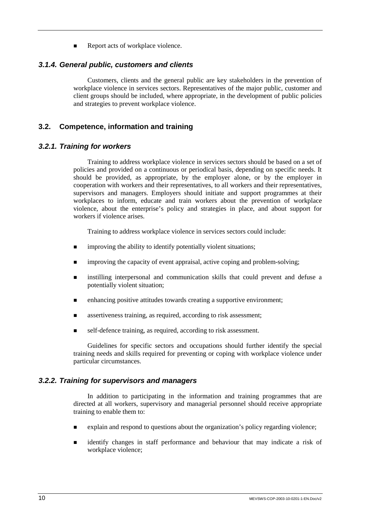Report acts of workplace violence.

#### *3.1.4. General public, customers and clients*

Customers, clients and the general public are key stakeholders in the prevention of workplace violence in services sectors. Representatives of the major public, customer and client groups should be included, where appropriate, in the development of public policies and strategies to prevent workplace violence.

### **3.2. Competence, information and training**

#### *3.2.1. Training for workers*

Training to address workplace violence in services sectors should be based on a set of policies and provided on a continuous or periodical basis, depending on specific needs. It should be provided, as appropriate, by the employer alone, or by the employer in cooperation with workers and their representatives, to all workers and their representatives, supervisors and managers. Employers should initiate and support programmes at their workplaces to inform, educate and train workers about the prevention of workplace violence, about the enterprise's policy and strategies in place, and about support for workers if violence arises.

Training to address workplace violence in services sectors could include:

- $\blacksquare$  improving the ability to identify potentially violent situations;
- **Interproving the capacity of event appraisal, active coping and problem-solving;**
- **I.** instilling interpersonal and communication skills that could prevent and defuse a potentially violent situation;
- **EXECUTE:** enhancing positive attitudes towards creating a supportive environment;
- assertiveness training, as required, according to risk assessment;
- $\blacksquare$  self-defence training, as required, according to risk assessment.

Guidelines for specific sectors and occupations should further identify the special training needs and skills required for preventing or coping with workplace violence under particular circumstances.

#### *3.2.2. Training for supervisors and managers*

In addition to participating in the information and training programmes that are directed at all workers, supervisory and managerial personnel should receive appropriate training to enable them to:

- ! explain and respond to questions about the organization's policy regarding violence;
- ! identify changes in staff performance and behaviour that may indicate a risk of workplace violence;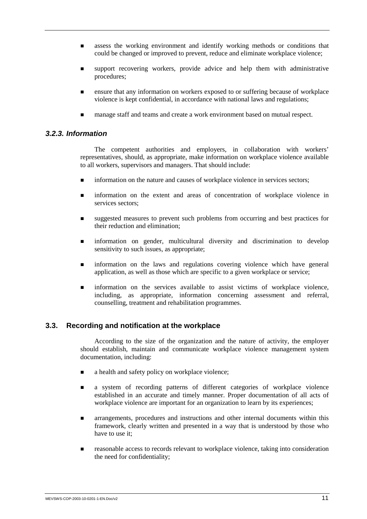- ! assess the working environment and identify working methods or conditions that could be changed or improved to prevent, reduce and eliminate workplace violence;
- support recovering workers, provide advice and help them with administrative procedures;
- ! ensure that any information on workers exposed to or suffering because of workplace violence is kept confidential, in accordance with national laws and regulations;
- ! manage staff and teams and create a work environment based on mutual respect.

#### *3.2.3. Information*

The competent authorities and employers, in collaboration with workers' representatives, should, as appropriate, make information on workplace violence available to all workers, supervisors and managers. That should include:

- **Information on the nature and causes of workplace violence in services sectors;**
- **Information on the extent and areas of concentration of workplace violence in** services sectors:
- suggested measures to prevent such problems from occurring and best practices for their reduction and elimination;
- ! information on gender, multicultural diversity and discrimination to develop sensitivity to such issues, as appropriate;
- **Information on the laws and regulations covering violence which have general** application, as well as those which are specific to a given workplace or service;
- ! information on the services available to assist victims of workplace violence, including, as appropriate, information concerning assessment and referral, counselling, treatment and rehabilitation programmes.

#### **3.3. Recording and notification at the workplace**

According to the size of the organization and the nature of activity, the employer should establish, maintain and communicate workplace violence management system documentation, including:

- a health and safety policy on workplace violence;
- **a** a system of recording patterns of different categories of workplace violence established in an accurate and timely manner. Proper documentation of all acts of workplace violence are important for an organization to learn by its experiences;
- ! arrangements, procedures and instructions and other internal documents within this framework, clearly written and presented in a way that is understood by those who have to use it;
- ! reasonable access to records relevant to workplace violence, taking into consideration the need for confidentiality;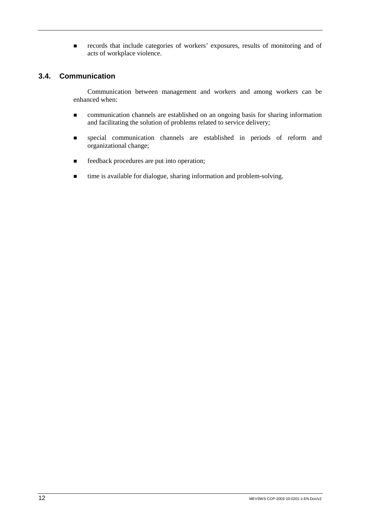**Exercise is records** that include categories of workers' exposures, results of monitoring and of acts of workplace violence.

## **3.4. Communication**

Communication between management and workers and among workers can be enhanced when:

- ! communication channels are established on an ongoing basis for sharing information and facilitating the solution of problems related to service delivery;
- ! special communication channels are established in periods of reform and organizational change;
- $\blacksquare$  feedback procedures are put into operation;
- ! time is available for dialogue, sharing information and problem-solving.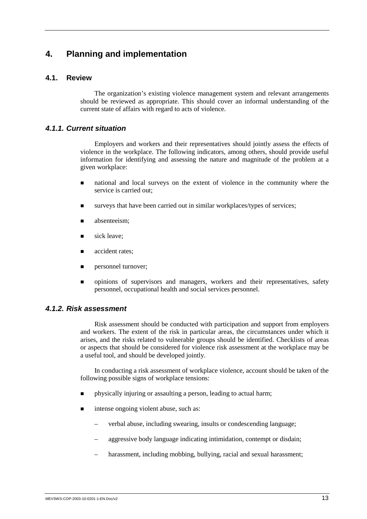## **4. Planning and implementation**

## **4.1. Review**

The organization's existing violence management system and relevant arrangements should be reviewed as appropriate. This should cover an informal understanding of the current state of affairs with regard to acts of violence.

## *4.1.1. Current situation*

Employers and workers and their representatives should jointly assess the effects of violence in the workplace. The following indicators, among others, should provide useful information for identifying and assessing the nature and magnitude of the problem at a given workplace:

- ! national and local surveys on the extent of violence in the community where the service is carried out;
- surveys that have been carried out in similar workplaces/types of services;
- absenteeism:
- sick leave:
- accident rates:
- personnel turnover;
- ! opinions of supervisors and managers, workers and their representatives, safety personnel, occupational health and social services personnel.

### *4.1.2. Risk assessment*

Risk assessment should be conducted with participation and support from employers and workers. The extent of the risk in particular areas, the circumstances under which it arises, and the risks related to vulnerable groups should be identified. Checklists of areas or aspects that should be considered for violence risk assessment at the workplace may be a useful tool, and should be developed jointly.

In conducting a risk assessment of workplace violence, account should be taken of the following possible signs of workplace tensions:

- ! physically injuring or assaulting a person, leading to actual harm;
- intense ongoing violent abuse, such as:
	- verbal abuse, including swearing, insults or condescending language;
	- aggressive body language indicating intimidation, contempt or disdain;
	- harassment, including mobbing, bullying, racial and sexual harassment;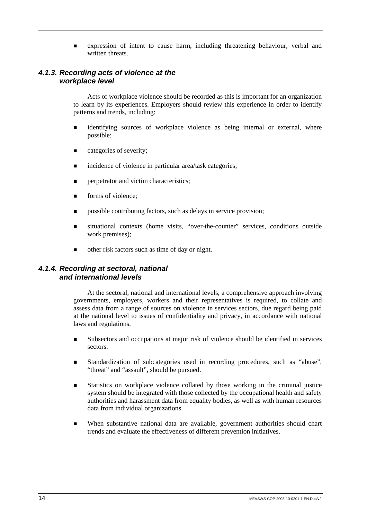! expression of intent to cause harm, including threatening behaviour, verbal and written threats

## *4.1.3. Recording acts of violence at the workplace level*

Acts of workplace violence should be recorded as this is important for an organization to learn by its experiences. Employers should review this experience in order to identify patterns and trends, including:

- identifying sources of workplace violence as being internal or external, where possible;
- **Exercise** categories of severity;
- incidence of violence in particular area/task categories;
- $\blacksquare$  perpetrator and victim characteristics;
- **If** forms of violence:
- $\blacksquare$  possible contributing factors, such as delays in service provision;
- ! situational contexts (home visits, "over-the-counter" services, conditions outside work premises);
- ! other risk factors such as time of day or night.

## *4.1.4. Recording at sectoral, national and international levels*

At the sectoral, national and international levels, a comprehensive approach involving governments, employers, workers and their representatives is required, to collate and assess data from a range of sources on violence in services sectors, due regard being paid at the national level to issues of confidentiality and privacy, in accordance with national laws and regulations.

- ! Subsectors and occupations at major risk of violence should be identified in services sectors.
- ! Standardization of subcategories used in recording procedures, such as "abuse", "threat" and "assault", should be pursued.
- **Example 1** Statistics on workplace violence collated by those working in the criminal justice system should be integrated with those collected by the occupational health and safety authorities and harassment data from equality bodies, as well as with human resources data from individual organizations.
- ! When substantive national data are available, government authorities should chart trends and evaluate the effectiveness of different prevention initiatives.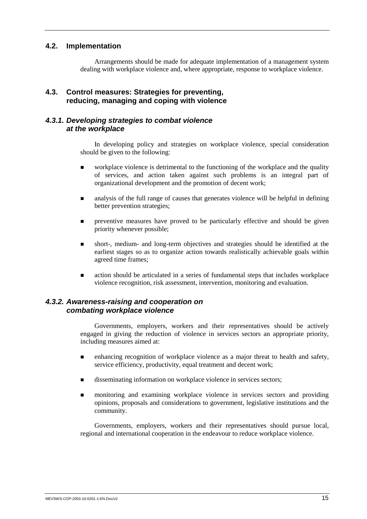## **4.2. Implementation**

Arrangements should be made for adequate implementation of a management system dealing with workplace violence and, where appropriate, response to workplace violence.

## **4.3. Control measures: Strategies for preventing, reducing, managing and coping with violence**

### *4.3.1. Developing strategies to combat violence at the workplace*

In developing policy and strategies on workplace violence, special consideration should be given to the following:

- $\blacksquare$  workplace violence is detrimental to the functioning of the workplace and the quality of services, and action taken against such problems is an integral part of organizational development and the promotion of decent work;
- $\blacksquare$  analysis of the full range of causes that generates violence will be helpful in defining better prevention strategies;
- ! preventive measures have proved to be particularly effective and should be given priority whenever possible;
- ! short-, medium- and long-term objectives and strategies should be identified at the earliest stages so as to organize action towards realistically achievable goals within agreed time frames;
- action should be articulated in a series of fundamental steps that includes workplace violence recognition, risk assessment, intervention, monitoring and evaluation.

### *4.3.2. Awareness-raising and cooperation on combating workplace violence*

Governments, employers, workers and their representatives should be actively engaged in giving the reduction of violence in services sectors an appropriate priority, including measures aimed at:

- ! enhancing recognition of workplace violence as a major threat to health and safety, service efficiency, productivity, equal treatment and decent work;
- disseminating information on workplace violence in services sectors;
- ! monitoring and examining workplace violence in services sectors and providing opinions, proposals and considerations to government, legislative institutions and the community.

Governments, employers, workers and their representatives should pursue local, regional and international cooperation in the endeavour to reduce workplace violence.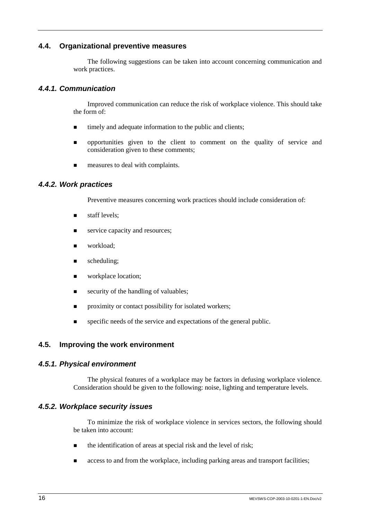## **4.4. Organizational preventive measures**

The following suggestions can be taken into account concerning communication and work practices.

## *4.4.1. Communication*

Improved communication can reduce the risk of workplace violence. This should take the form of:

- $\blacksquare$  timely and adequate information to the public and clients;
- **n** opportunities given to the client to comment on the quality of service and consideration given to these comments;
- **EXECUTE:** measures to deal with complaints.

## *4.4.2. Work practices*

Preventive measures concerning work practices should include consideration of:

- **staff levels;**
- service capacity and resources;
- workload;
- $\blacksquare$  scheduling;
- workplace location;
- **Exercity of the handling of valuables;**
- $\blacksquare$  proximity or contact possibility for isolated workers;
- specific needs of the service and expectations of the general public.

## **4.5. Improving the work environment**

### *4.5.1. Physical environment*

The physical features of a workplace may be factors in defusing workplace violence. Consideration should be given to the following: noise, lighting and temperature levels.

### *4.5.2. Workplace security issues*

To minimize the risk of workplace violence in services sectors, the following should be taken into account:

- $\blacksquare$  the identification of areas at special risk and the level of risk;
- **Exercise** access to and from the workplace, including parking areas and transport facilities;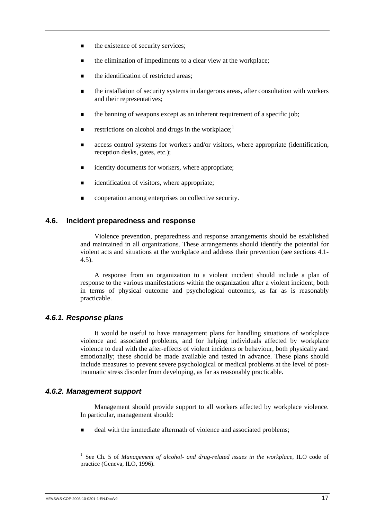- $\blacksquare$  the existence of security services:
- ! the elimination of impediments to a clear view at the workplace;
- the identification of restricted areas;
- ! the installation of security systems in dangerous areas, after consultation with workers and their representatives;
- the banning of weapons except as an inherent requirement of a specific job;
- **EXECUTE:** restrictions on alcohol and drugs in the workplace;<sup>1</sup>
- access control systems for workers and/or visitors, where appropriate (identification, reception desks, gates, etc.);
- identity documents for workers, where appropriate:
- identification of visitors, where appropriate;
- $\blacksquare$  cooperation among enterprises on collective security.

#### **4.6. Incident preparedness and response**

Violence prevention, preparedness and response arrangements should be established and maintained in all organizations. These arrangements should identify the potential for violent acts and situations at the workplace and address their prevention (see sections 4.1- 4.5).

A response from an organization to a violent incident should include a plan of response to the various manifestations within the organization after a violent incident, both in terms of physical outcome and psychological outcomes, as far as is reasonably practicable.

#### *4.6.1. Response plans*

It would be useful to have management plans for handling situations of workplace violence and associated problems, and for helping individuals affected by workplace violence to deal with the after-effects of violent incidents or behaviour, both physically and emotionally; these should be made available and tested in advance. These plans should include measures to prevent severe psychological or medical problems at the level of posttraumatic stress disorder from developing, as far as reasonably practicable.

#### *4.6.2. Management support*

Management should provide support to all workers affected by workplace violence. In particular, management should:

deal with the immediate aftermath of violence and associated problems;

<sup>1</sup> See Ch. 5 of *Management of alcohol- and drug-related issues in the workplace*, ILO code of practice (Geneva, ILO, 1996).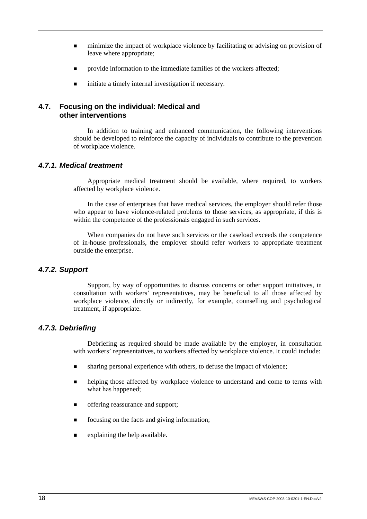- ! minimize the impact of workplace violence by facilitating or advising on provision of leave where appropriate;
- $\blacksquare$  provide information to the immediate families of the workers affected;
- $\blacksquare$  initiate a timely internal investigation if necessary.

## **4.7. Focusing on the individual: Medical and other interventions**

In addition to training and enhanced communication, the following interventions should be developed to reinforce the capacity of individuals to contribute to the prevention of workplace violence.

## *4.7.1. Medical treatment*

Appropriate medical treatment should be available, where required, to workers affected by workplace violence.

In the case of enterprises that have medical services, the employer should refer those who appear to have violence-related problems to those services, as appropriate, if this is within the competence of the professionals engaged in such services.

When companies do not have such services or the caseload exceeds the competence of in-house professionals, the employer should refer workers to appropriate treatment outside the enterprise.

### *4.7.2. Support*

Support, by way of opportunities to discuss concerns or other support initiatives, in consultation with workers' representatives, may be beneficial to all those affected by workplace violence, directly or indirectly, for example, counselling and psychological treatment, if appropriate.

## *4.7.3. Debriefing*

Debriefing as required should be made available by the employer, in consultation with workers' representatives, to workers affected by workplace violence. It could include:

- **In sharing personal experience with others, to defuse the impact of violence;**
- **In all helping those affected by workplace violence to understand and come to terms with** what has happened:
- **I.** offering reassurance and support:
- **If** focusing on the facts and giving information;
- $\blacksquare$  explaining the help available.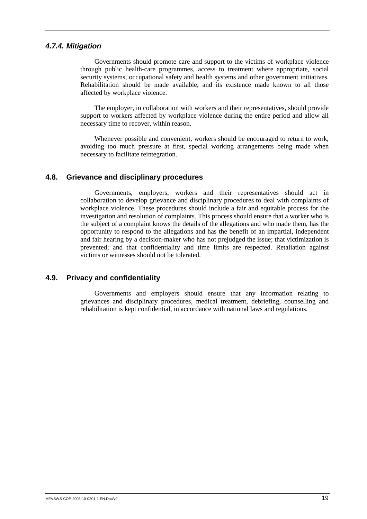### *4.7.4. Mitigation*

Governments should promote care and support to the victims of workplace violence through public health-care programmes, access to treatment where appropriate, social security systems, occupational safety and health systems and other government initiatives. Rehabilitation should be made available, and its existence made known to all those affected by workplace violence.

The employer, in collaboration with workers and their representatives, should provide support to workers affected by workplace violence during the entire period and allow all necessary time to recover, within reason.

Whenever possible and convenient, workers should be encouraged to return to work, avoiding too much pressure at first, special working arrangements being made when necessary to facilitate reintegration.

## **4.8. Grievance and disciplinary procedures**

Governments, employers, workers and their representatives should act in collaboration to develop grievance and disciplinary procedures to deal with complaints of workplace violence. These procedures should include a fair and equitable process for the investigation and resolution of complaints. This process should ensure that a worker who is the subject of a complaint knows the details of the allegations and who made them, has the opportunity to respond to the allegations and has the benefit of an impartial, independent and fair hearing by a decision-maker who has not prejudged the issue; that victimization is prevented; and that confidentiality and time limits are respected. Retaliation against victims or witnesses should not be tolerated.

## **4.9. Privacy and confidentiality**

Governments and employers should ensure that any information relating to grievances and disciplinary procedures, medical treatment, debriefing, counselling and rehabilitation is kept confidential, in accordance with national laws and regulations.